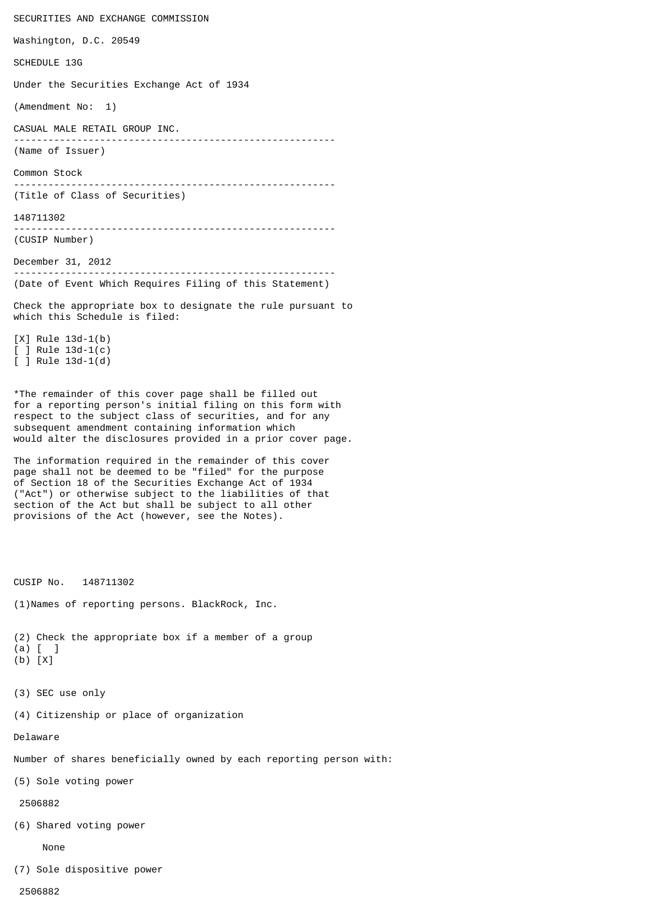SECURITIES AND EXCHANGE COMMISSION Washington, D.C. 20549 SCHEDULE 13G Under the Securities Exchange Act of 1934 (Amendment No: 1) CASUAL MALE RETAIL GROUP INC. -------------------------------------------------------- (Name of Issuer) Common Stock -------------------------------------------------------- (Title of Class of Securities) 148711302 -------------------------------------------------------- (CUSIP Number) December 31, 2012 -------------------------------------------------------- (Date of Event Which Requires Filing of this Statement) Check the appropriate box to designate the rule pursuant to which this Schedule is filed: [X] Rule 13d-1(b) [ ] Rule 13d-1(c) [ ] Rule 13d-1(d)

\*The remainder of this cover page shall be filled out for a reporting person's initial filing on this form with respect to the subject class of securities, and for any subsequent amendment containing information which would alter the disclosures provided in a prior cover page.

The information required in the remainder of this cover page shall not be deemed to be "filed" for the purpose of Section 18 of the Securities Exchange Act of 1934 ("Act") or otherwise subject to the liabilities of that section of the Act but shall be subject to all other provisions of the Act (however, see the Notes).

CUSIP No. 148711302

(1)Names of reporting persons. BlackRock, Inc.

(2) Check the appropriate box if a member of a group (a) [ ]

- (b) [X]
- (3) SEC use only

(4) Citizenship or place of organization

Delaware

Number of shares beneficially owned by each reporting person with:

(5) Sole voting power

2506882

(6) Shared voting power

None

(7) Sole dispositive power

2506882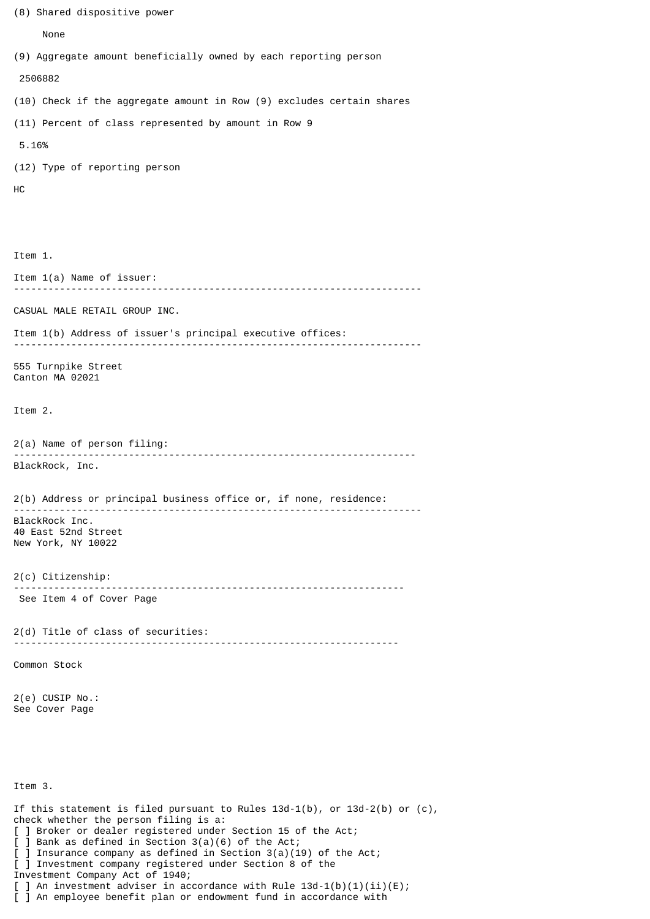```
(8) Shared dispositive power
      None
(9) Aggregate amount beneficially owned by each reporting person
  2506882
(10) Check if the aggregate amount in Row (9) excludes certain shares
(11) Percent of class represented by amount in Row 9
 5.16%
(12) Type of reporting person
HC
Item 1.
Item 1(a) Name of issuer:
      -----------------------------------------------------------------------
CASUAL MALE RETAIL GROUP INC.
Item 1(b) Address of issuer's principal executive offices:
-----------------------------------------------------------------------
555 Turnpike Street
Canton MA 02021
Item 2.
2(a) Name of person filing:
                           ----------------------------------------------------------------------
BlackRock, Inc.
2(b) Address or principal business office or, if none, residence:
-----------------------------------------------------------------------
BlackRock Inc.
40 East 52nd Street
New York, NY 10022
2(c) Citizenship:
                         --------------------------------------------------------------------
 See Item 4 of Cover Page
2(d) Title of class of securities:
                                       -------------------------------------------------------------------
Common Stock
2(e) CUSIP No.:
See Cover Page
Item 3.
If this statement is filed pursuant to Rules 13d-1(b), or 13d-2(b) or (c),
check whether the person filing is a:
[ ] Broker or dealer registered under Section 15 of the Act;
[ ] Bank as defined in Section 3(a)(6) of the Act;
[ ] Insurance company as defined in Section 3(a)(19) of the Act;
[ ] Investment company registered under Section 8 of the
Investment Company Act of 1940;
[ ] An investment adviser in accordance with Rule 13d-1(b)(1)(ii)(E);
[ ] An employee benefit plan or endowment fund in accordance with
```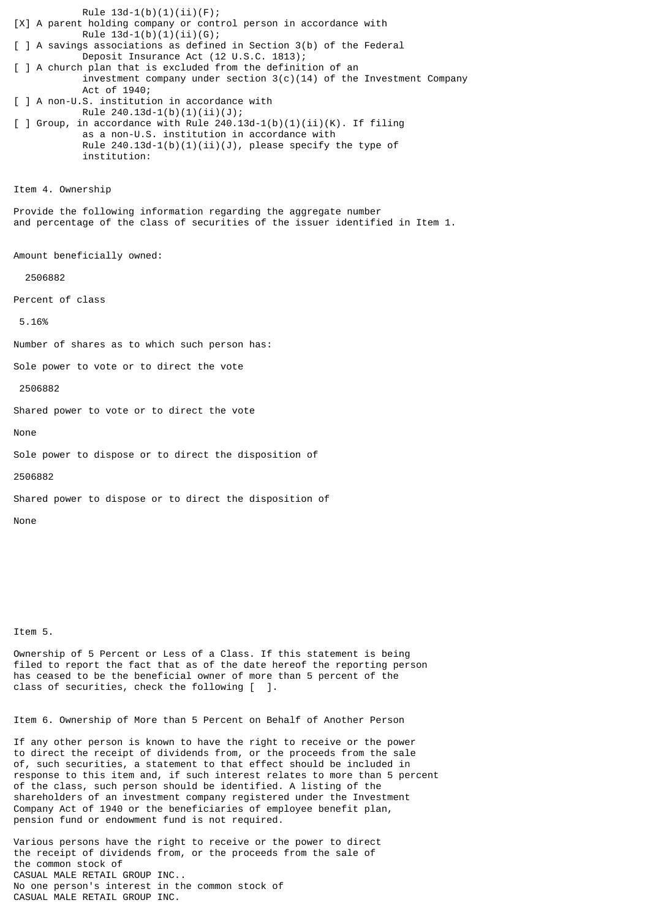Rule  $13d-1(b)(1)(ii)(F);$ [X] A parent holding company or control person in accordance with Rule  $13d-1(b)(1)(ii)(G);$ [ ] A savings associations as defined in Section 3(b) of the Federal Deposit Insurance Act (12 U.S.C. 1813); [ ] A church plan that is excluded from the definition of an investment company under section  $3(c)(14)$  of the Investment Company Act of 1940; [ ] A non-U.S. institution in accordance with Rule  $240.13d-1(b)(1)(ii)(J);$ [ ] Group, in accordance with Rule  $240.13d-1(b)(1)(ii)(K)$ . If filing as a non-U.S. institution in accordance with Rule  $240.13d-1(b)(1)(ii)(J)$ , please specify the type of institution: Item 4. Ownership Provide the following information regarding the aggregate number and percentage of the class of securities of the issuer identified in Item 1. Amount beneficially owned: 2506882 Percent of class 5.16% Number of shares as to which such person has: Sole power to vote or to direct the vote 2506882 Shared power to vote or to direct the vote None Sole power to dispose or to direct the disposition of 2506882 Shared power to dispose or to direct the disposition of

Item 5.

None

Ownership of 5 Percent or Less of a Class. If this statement is being filed to report the fact that as of the date hereof the reporting person has ceased to be the beneficial owner of more than 5 percent of the class of securities, check the following [ ].

Item 6. Ownership of More than 5 Percent on Behalf of Another Person

If any other person is known to have the right to receive or the power to direct the receipt of dividends from, or the proceeds from the sale of, such securities, a statement to that effect should be included in response to this item and, if such interest relates to more than 5 percent of the class, such person should be identified. A listing of the shareholders of an investment company registered under the Investment Company Act of 1940 or the beneficiaries of employee benefit plan, pension fund or endowment fund is not required.

Various persons have the right to receive or the power to direct the receipt of dividends from, or the proceeds from the sale of the common stock of CASUAL MALE RETAIL GROUP INC.. No one person's interest in the common stock of CASUAL MALE RETAIL GROUP INC.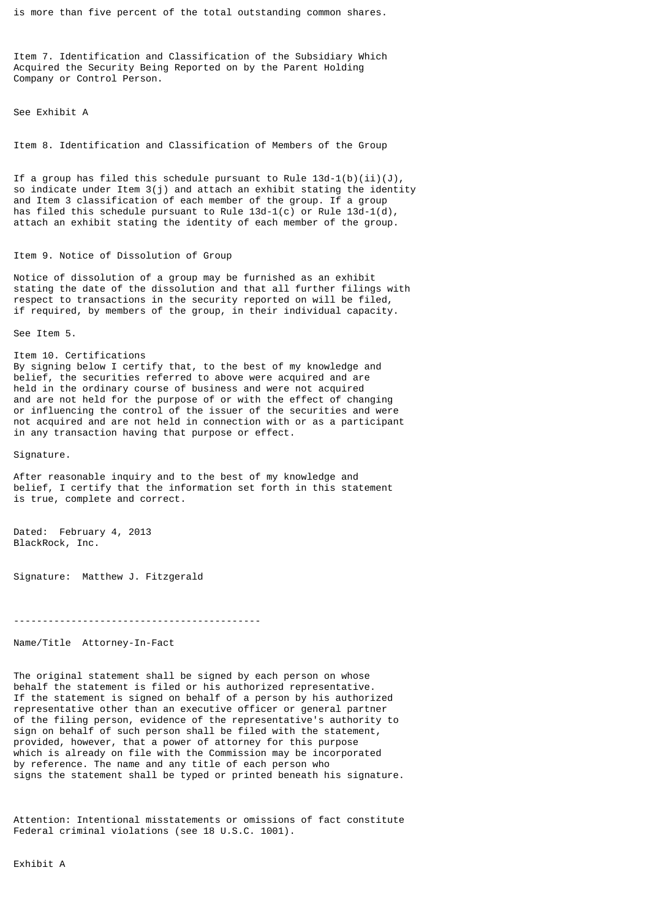is more than five percent of the total outstanding common shares.

Item 7. Identification and Classification of the Subsidiary Which Acquired the Security Being Reported on by the Parent Holding Company or Control Person.

See Exhibit A

Item 8. Identification and Classification of Members of the Group

If a group has filed this schedule pursuant to Rule  $13d-1(b)(ii)(J)$ , so indicate under Item 3(j) and attach an exhibit stating the identity and Item 3 classification of each member of the group. If a group has filed this schedule pursuant to Rule 13d-1(c) or Rule 13d-1(d), attach an exhibit stating the identity of each member of the group.

## Item 9. Notice of Dissolution of Group

Notice of dissolution of a group may be furnished as an exhibit stating the date of the dissolution and that all further filings with respect to transactions in the security reported on will be filed, if required, by members of the group, in their individual capacity.

See Item 5.

Item 10. Certifications By signing below I certify that, to the best of my knowledge and belief, the securities referred to above were acquired and are held in the ordinary course of business and were not acquired and are not held for the purpose of or with the effect of changing or influencing the control of the issuer of the securities and were not acquired and are not held in connection with or as a participant in any transaction having that purpose or effect.

Signature.

After reasonable inquiry and to the best of my knowledge and belief, I certify that the information set forth in this statement is true, complete and correct.

Dated: February 4, 2013 BlackRock, Inc.

Signature: Matthew J. Fitzgerald

-------------------------------------------

Name/Title Attorney-In-Fact

The original statement shall be signed by each person on whose behalf the statement is filed or his authorized representative. If the statement is signed on behalf of a person by his authorized representative other than an executive officer or general partner of the filing person, evidence of the representative's authority to sign on behalf of such person shall be filed with the statement, provided, however, that a power of attorney for this purpose which is already on file with the Commission may be incorporated by reference. The name and any title of each person who signs the statement shall be typed or printed beneath his signature.

Attention: Intentional misstatements or omissions of fact constitute Federal criminal violations (see 18 U.S.C. 1001).

Exhibit A